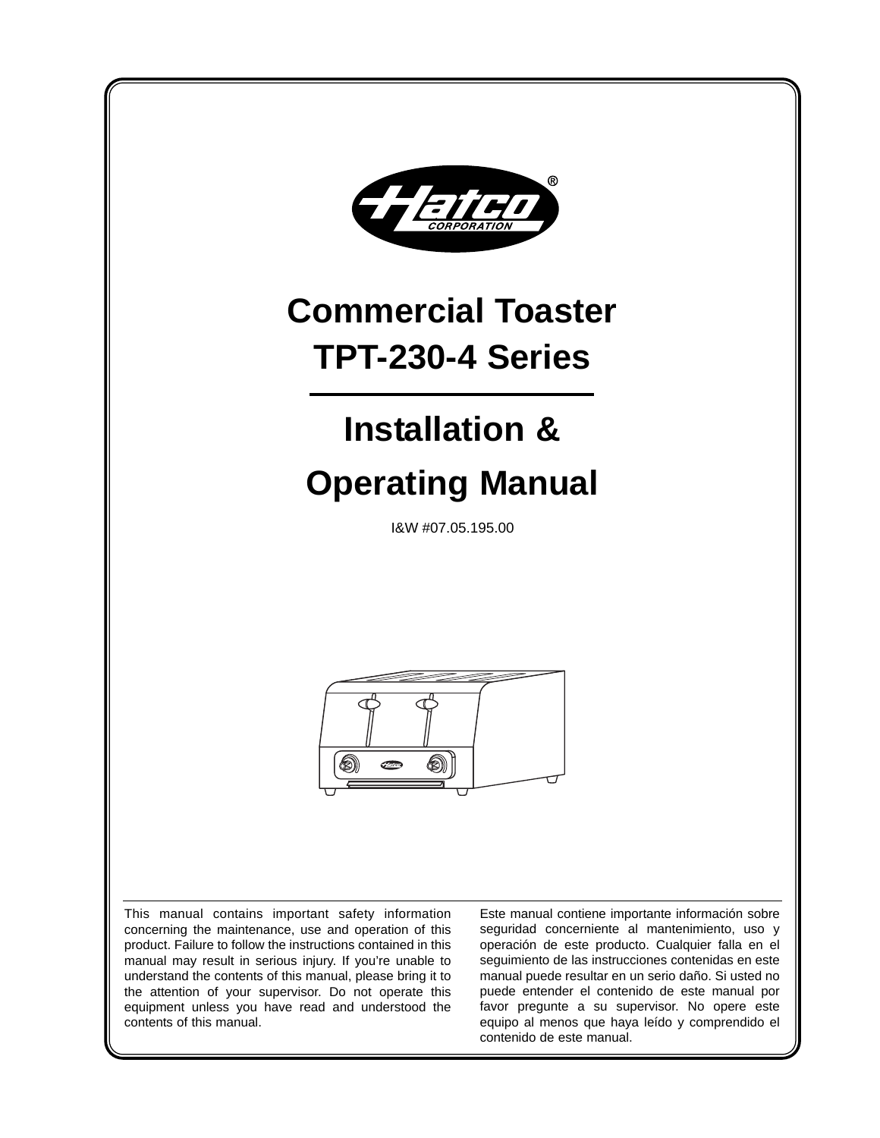

manual may result in serious injury. If you're unable to understand the contents of this manual, please bring it to the attention of your supervisor. Do not operate this equipment unless you have read and understood the contents of this manual.

seguimiento de las instrucciones contenidas en este manual puede resultar en un serio daño. Si usted no puede entender el contenido de este manual por favor pregunte a su supervisor. No opere este equipo al menos que haya leído y comprendido el contenido de este manual.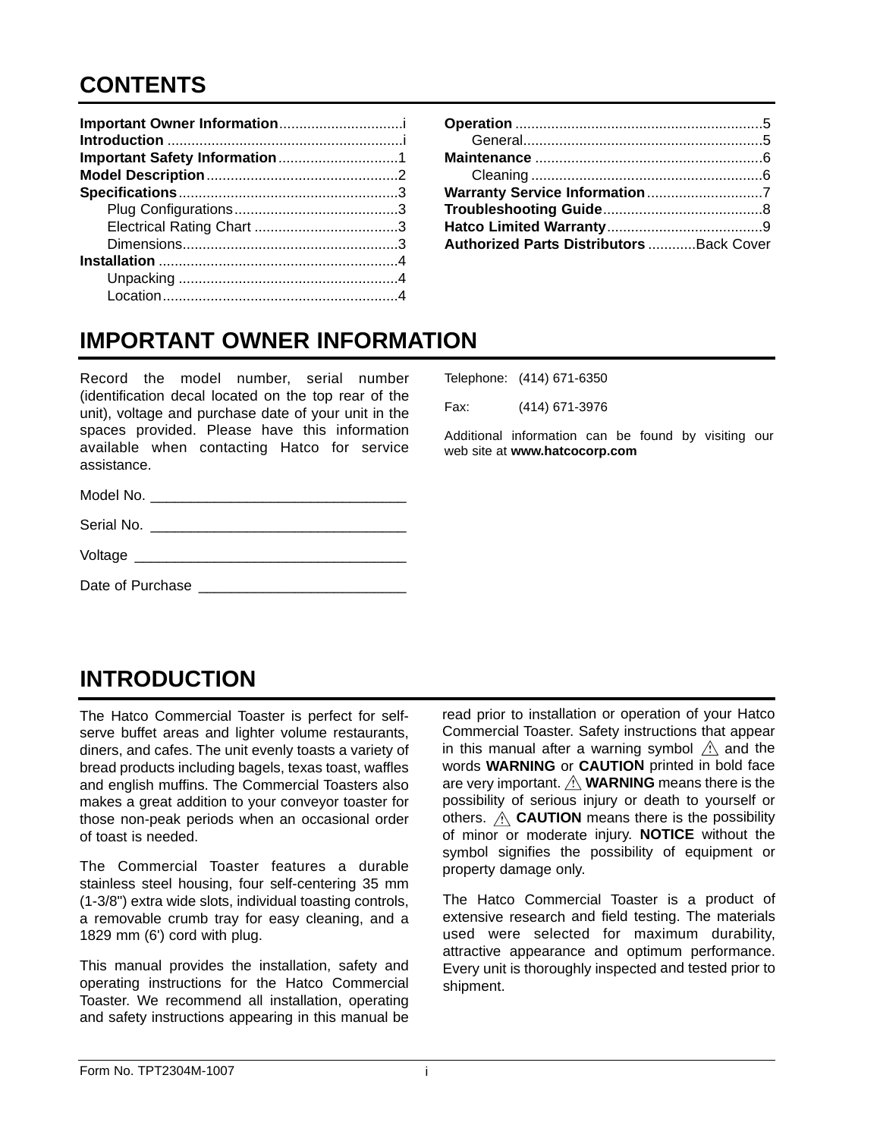# **CONTENTS**

| <b>Authorized Parts Distributors Back Cover</b> |  |
|-------------------------------------------------|--|

# **IMPORTANT OWNER INFORMATION**

Record the model number, serial number (identification decal located on the top rear of the unit), voltage and purchase date of your unit in the spaces provided. Please have this information available when contacting Hatco for service assistance.

Model No.

|      | Telephone: (414) 671-6350 |
|------|---------------------------|
| Fax: | (414) 671-3976            |

Additional information can be found by visiting our web site at **www.hatcocorp.com**

| Date of Purchase |  |  |
|------------------|--|--|
|                  |  |  |
|                  |  |  |
|                  |  |  |

Serial No.

## **INTRODUCTION**

Voltage \_\_\_\_\_\_\_\_\_\_\_\_\_\_\_\_\_\_\_\_\_\_\_\_\_\_\_\_\_\_\_\_\_\_

The Hatco Commercial Toaster is perfect for selfserve buffet areas and lighter volume restaurants, diners, and cafes. The unit evenly toasts a variety of bread products including bagels, texas toast, waffles and english muffins. The Commercial Toasters also makes a great addition to your conveyor toaster for those non-peak periods when an occasional order of toast is needed.

The Commercial Toaster features a durable stainless steel housing, four self-centering 35 mm (1-3/8") extra wide slots, individual toasting controls, a removable crumb tray for easy cleaning, and a 1829 mm (6') cord with plug.

This manual provides the installation, safety and operating instructions for the Hatco Commercial Toaster. We recommend all installation, operating and safety instructions appearing in this manual be

read prior to installation or operation of your Hatco Commercial Toaster. Safety instructions that appear in this manual after a warning symbol  $\hat{A}$  and the words **WARNING** or **CAUTION** printed in bold face are very important.  $\hat{A}$  **WARNING** means there is the possibility of serious injury or death to yourself or others.  $\hat{A}$  **CAUTION** means there is the possibility of minor or moderate injury. **NOTICE** without the symbol signifies the possibility of equipment or property damage only.

The Hatco Commercial Toaster is a product of extensive research and field testing. The materials used were selected for maximum durability, attractive appearance and optimum performance. Every unit is thoroughly inspected and tested prior to shipment.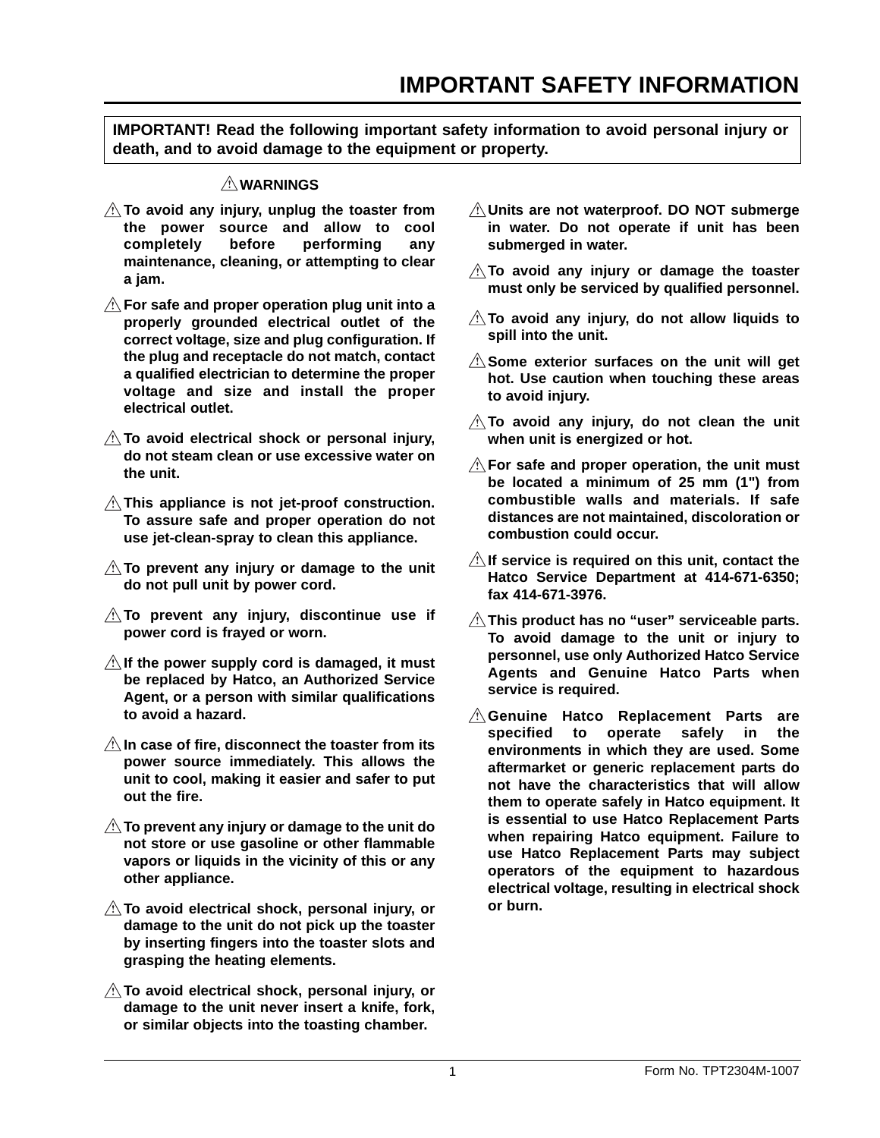**IMPORTANT! Read the following important safety information to avoid personal injury or death, and to avoid damage to the equipment or property.**

## **WARNINGS**

- **To avoid any injury, unplug the toaster from the power source and allow to cool completely before performing any maintenance, cleaning, or attempting to clear a jam.**
- **For safe and proper operation plug unit into a properly grounded electrical outlet of the correct voltage, size and plug configuration. If the plug and receptacle do not match, contact a qualified electrician to determine the proper voltage and size and install the proper electrical outlet.**
- **To avoid electrical shock or personal injury, do not steam clean or use excessive water on the unit.**
- **This appliance is not jet-proof construction. To assure safe and proper operation do not use jet-clean-spray to clean this appliance.**
- **To prevent any injury or damage to the unit do not pull unit by power cord.**
- A To prevent any injury, discontinue use if **power cord is frayed or worn.**
- **If the power supply cord is damaged, it must be replaced by Hatco, an Authorized Service Agent, or a person with similar qualifications to avoid a hazard.**
- **In case of fire, disconnect the toaster from its power source immediately. This allows the unit to cool, making it easier and safer to put out the fire.**
- **To prevent any injury or damage to the unit do not store or use gasoline or other flammable vapors or liquids in the vicinity of this or any other appliance.**
- **To avoid electrical shock, personal injury, or damage to the unit do not pick up the toaster by inserting fingers into the toaster slots and grasping the heating elements.**
- **To avoid electrical shock, personal injury, or damage to the unit never insert a knife, fork, or similar objects into the toasting chamber.**
- **Units are not waterproof. DO NOT submerge in water. Do not operate if unit has been submerged in water.**
- **To avoid any injury or damage the toaster must only be serviced by qualified personnel.**
- **To avoid any injury, do not allow liquids to spill into the unit.**
- **Some exterior surfaces on the unit will get hot. Use caution when touching these areas to avoid injury.**
- **To avoid any injury, do not clean the unit when unit is energized or hot.**
- **For safe and proper operation, the unit must be located a minimum of 25 mm (1") from combustible walls and materials. If safe distances are not maintained, discoloration or combustion could occur.**
- **If service is required on this unit, contact the Hatco Service Department at 414-671-6350; fax 414-671-3976.**
- **This product has no "user" serviceable parts. To avoid damage to the unit or injury to personnel, use only Authorized Hatco Service Agents and Genuine Hatco Parts when service is required.**
- **Genuine Hatco Replacement Parts are specified to operate safely in the environments in which they are used. Some aftermarket or generic replacement parts do not have the characteristics that will allow them to operate safely in Hatco equipment. It is essential to use Hatco Replacement Parts when repairing Hatco equipment. Failure to use Hatco Replacement Parts may subject operators of the equipment to hazardous electrical voltage, resulting in electrical shock or burn.**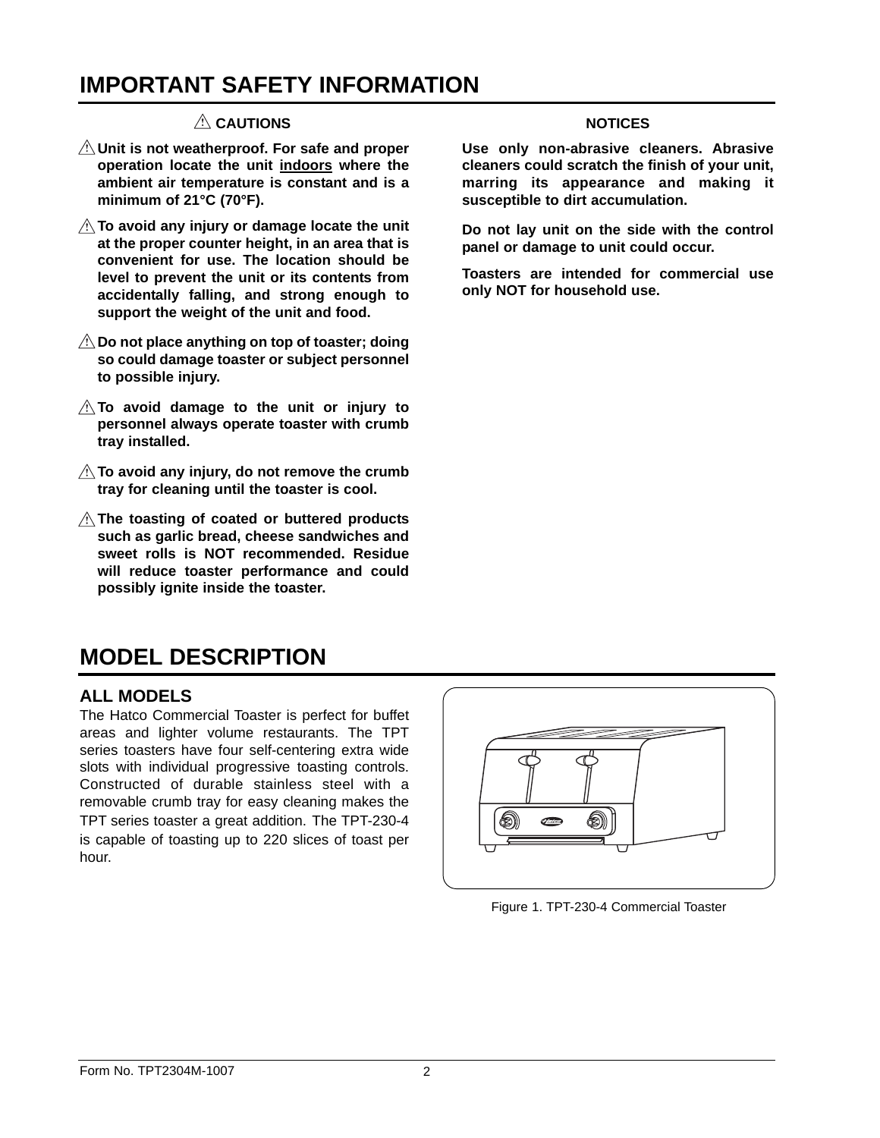## **IMPORTANT SAFETY INFORMATION**

## **CAUTIONS**

- **Unit is not weatherproof. For safe and proper operation locate the unit indoors where the ambient air temperature is constant and is a minimum of 21°C (70°F).**
- **To avoid any injury or damage locate the unit at the proper counter height, in an area that is convenient for use. The location should be level to prevent the unit or its contents from accidentally falling, and strong enough to support the weight of the unit and food.**
- **Do not place anything on top of toaster; doing so could damage toaster or subject personnel to possible injury.**
- **To avoid damage to the unit or injury to personnel always operate toaster with crumb tray installed.**
- $\triangle$  To avoid any injury, do not remove the crumb **tray for cleaning until the toaster is cool.**
- **The toasting of coated or buttered products such as garlic bread, cheese sandwiches and sweet rolls is NOT recommended. Residue will reduce toaster performance and could possibly ignite inside the toaster.**

### **NOTICES**

**Use only non-abrasive cleaners. Abrasive cleaners could scratch the finish of your unit, marring its appearance and making it susceptible to dirt accumulation.**

**Do not lay unit on the side with the control panel or damage to unit could occur.**

**Toasters are intended for commercial use only NOT for household use.**

## **MODEL DESCRIPTION**

## **ALL MODELS**

The Hatco Commercial Toaster is perfect for buffet areas and lighter volume restaurants. The TPT series toasters have four self-centering extra wide slots with individual progressive toasting controls. Constructed of durable stainless steel with a removable crumb tray for easy cleaning makes the TPT series toaster a great addition. The TPT-230-4 is capable of toasting up to 220 slices of toast per hour.



Figure 1. TPT-230-4 Commercial Toaster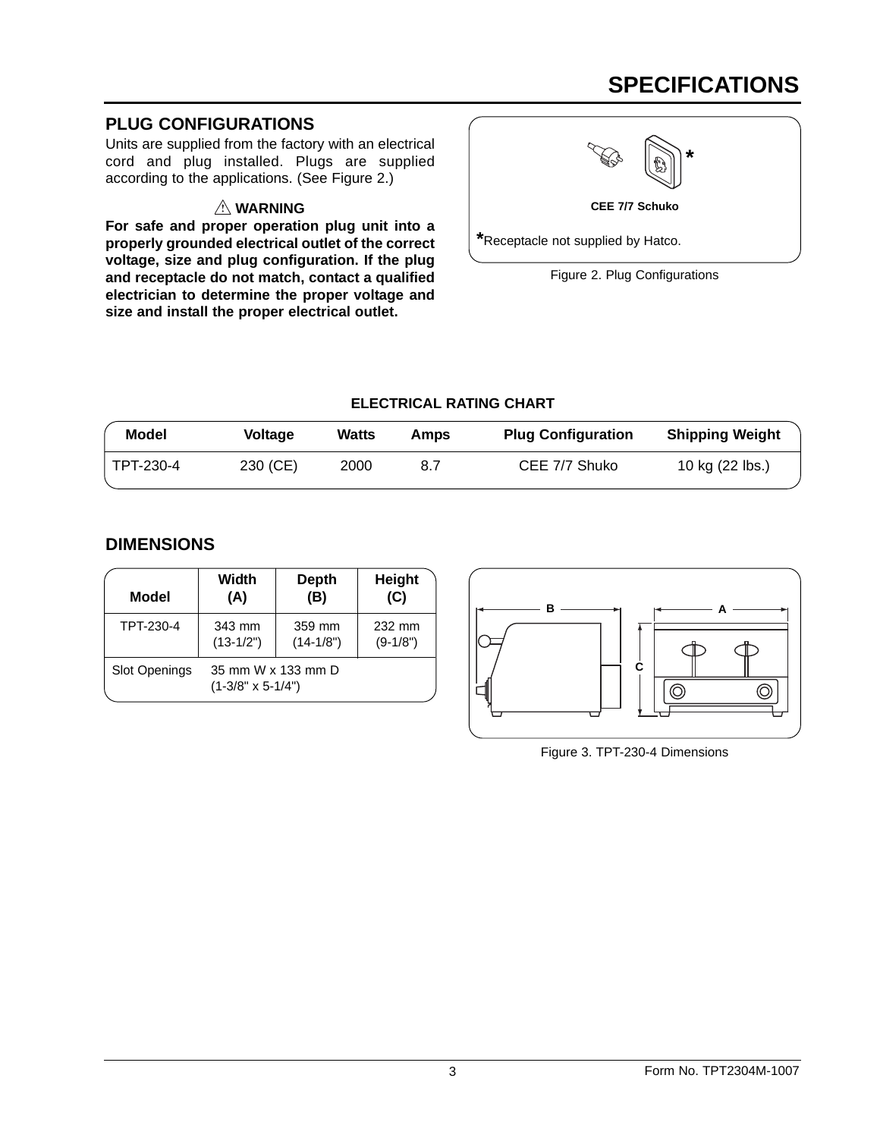# **SPECIFICATIONS**

## **PLUG CONFIGURATIONS**

Units are supplied from the factory with an electrical cord and plug installed. Plugs are supplied according to the applications. (See Figure 2.)

## **WARNING**

**For safe and proper operation plug unit into a properly grounded electrical outlet of the correct voltage, size and plug configuration. If the plug and receptacle do not match, contact a qualified electrician to determine the proper voltage and size and install the proper electrical outlet.**



**CEE 7/7 Schuko**

**\***Receptacle not supplied by Hatco.

Figure 2. Plug Configurations

## **ELECTRICAL RATING CHART**

| <b>Model</b> | Voltage  | Watts | Amps | <b>Plug Configuration</b> | <b>Shipping Weight</b> |
|--------------|----------|-------|------|---------------------------|------------------------|
| TPT-230-4    | 230 (CE) | 2000  | 8.7  | CEE 7/7 Shuko             | 10 kg (22 lbs.)        |

## **DIMENSIONS**

| <b>Model</b>         | Width                                          | <b>Depth</b> | Height     |
|----------------------|------------------------------------------------|--------------|------------|
|                      | (A)                                            | (B)          | (C)        |
| TPT-230-4            | 343 mm                                         | 359 mm       | 232 mm     |
|                      | $(13-1/2")$                                    | $(14-1/8")$  | $(9-1/8")$ |
| <b>Slot Openings</b> | 35 mm W x 133 mm D<br>$(1-3/8" \times 5-1/4")$ |              |            |



Figure 3. TPT-230-4 Dimensions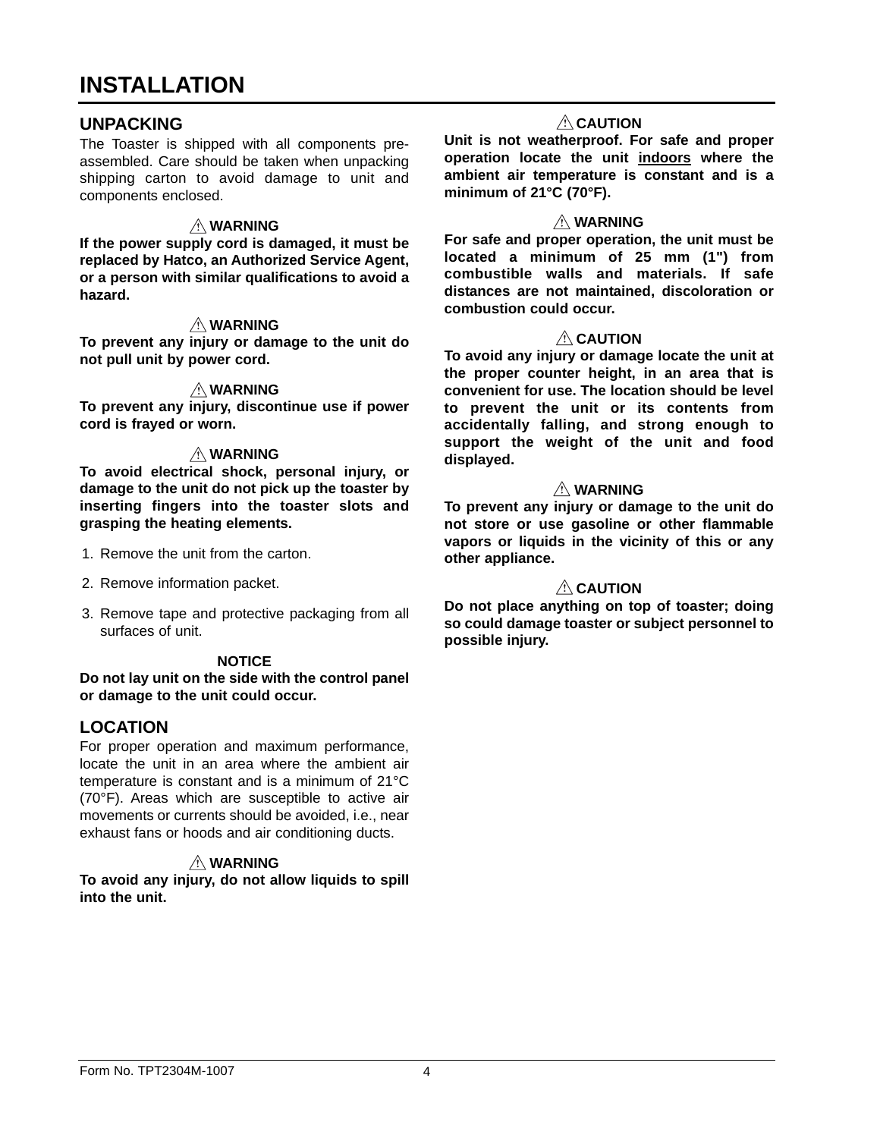## **INSTALLATION**

## **UNPACKING**

The Toaster is shipped with all components preassembled. Care should be taken when unpacking shipping carton to avoid damage to unit and components enclosed.

#### **WARNING**

**If the power supply cord is damaged, it must be replaced by Hatco, an Authorized Service Agent, or a person with similar qualifications to avoid a hazard.**

#### **WARNING**

**To prevent any injury or damage to the unit do not pull unit by power cord.**

#### **WARNING**

**To prevent any injury, discontinue use if power cord is frayed or worn.**

#### **WARNING**

**To avoid electrical shock, personal injury, or damage to the unit do not pick up the toaster by inserting fingers into the toaster slots and grasping the heating elements.**

- 1. Remove the unit from the carton.
- 2. Remove information packet.
- 3. Remove tape and protective packaging from all surfaces of unit.

#### **NOTICE**

**Do not lay unit on the side with the control panel or damage to the unit could occur.**

## **LOCATION**

For proper operation and maximum performance, locate the unit in an area where the ambient air temperature is constant and is a minimum of 21°C (70°F). Areas which are susceptible to active air movements or currents should be avoided, i.e., near exhaust fans or hoods and air conditioning ducts.

## **WARNING**

**To avoid any injury, do not allow liquids to spill into the unit.**

#### **<u>A</u>** CAUTION

**Unit is not weatherproof. For safe and proper operation locate the unit indoors where the ambient air temperature is constant and is a minimum of 21°C (70°F).**

#### **WARNING**

**For safe and proper operation, the unit must be located a minimum of 25 mm (1") from combustible walls and materials. If safe distances are not maintained, discoloration or combustion could occur.**

#### **<u>A</u>** CAUTION

**To avoid any injury or damage locate the unit at the proper counter height, in an area that is convenient for use. The location should be level to prevent the unit or its contents from accidentally falling, and strong enough to support the weight of the unit and food displayed.**

#### **WARNING**

**To prevent any injury or damage to the unit do not store or use gasoline or other flammable vapors or liquids in the vicinity of this or any other appliance.**

#### **CAUTION**

**Do not place anything on top of toaster; doing so could damage toaster or subject personnel to possible injury.**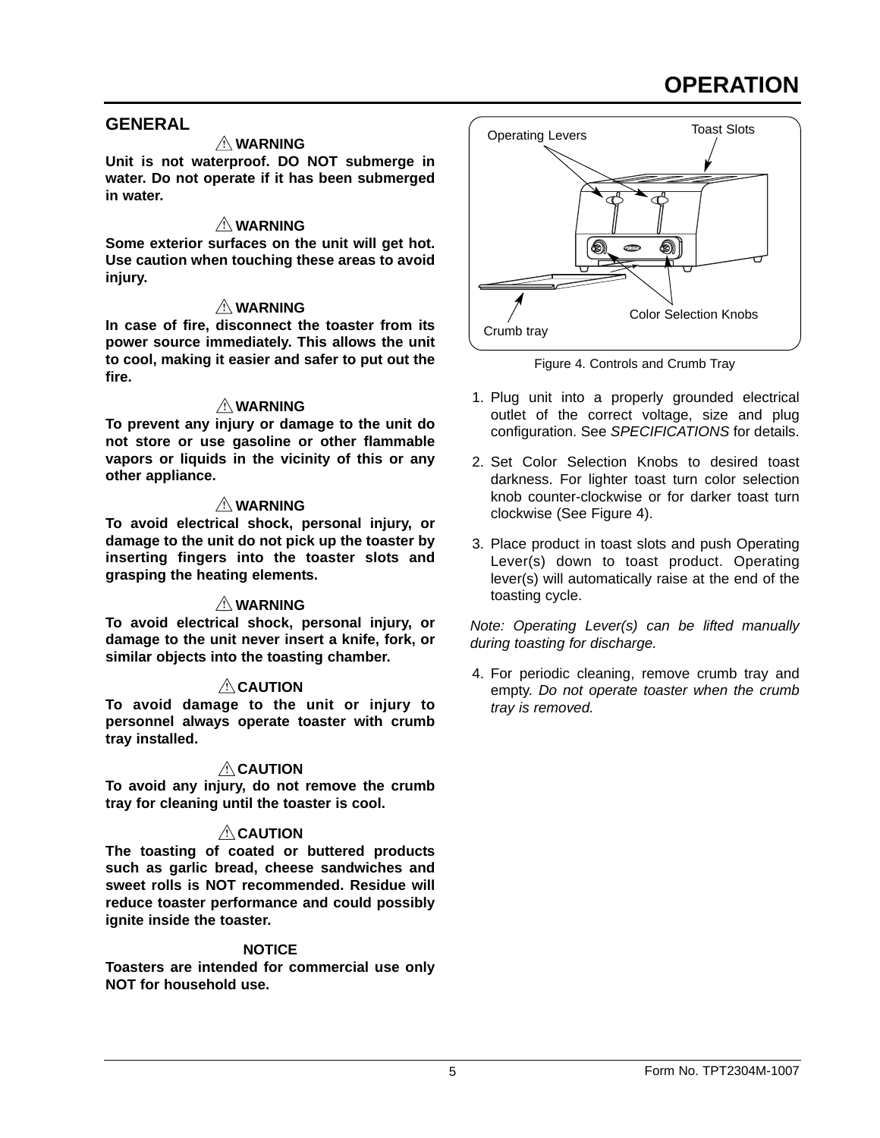# **OPERATION**

## **GENERAL**

### **WARNING**

**Unit is not waterproof. DO NOT submerge in water. Do not operate if it has been submerged in water.**

## **WARNING**

**Some exterior surfaces on the unit will get hot. Use caution when touching these areas to avoid injury.**

#### **WARNING**

**In case of fire, disconnect the toaster from its power source immediately. This allows the unit to cool, making it easier and safer to put out the fire.**

#### **WARNING**

**To prevent any injury or damage to the unit do not store or use gasoline or other flammable vapors or liquids in the vicinity of this or any other appliance.**

#### **WARNING**

**To avoid electrical shock, personal injury, or damage to the unit do not pick up the toaster by inserting fingers into the toaster slots and grasping the heating elements.**

## **WARNING**

**To avoid electrical shock, personal injury, or damage to the unit never insert a knife, fork, or similar objects into the toasting chamber.**

#### *A* CAUTION

**To avoid damage to the unit or injury to personnel always operate toaster with crumb tray installed.**

## **CAUTION**

**To avoid any injury, do not remove the crumb tray for cleaning until the toaster is cool.**

## **CAUTION**

**The toasting of coated or buttered products such as garlic bread, cheese sandwiches and sweet rolls is NOT recommended. Residue will reduce toaster performance and could possibly ignite inside the toaster.**

#### **NOTICE**

**Toasters are intended for commercial use only NOT for household use.**



Figure 4. Controls and Crumb Tray

- 1. Plug unit into a properly grounded electrical outlet of the correct voltage, size and plug configuration. See *SPECIFICATIONS* for details.
- 2. Set Color Selection Knobs to desired toast darkness. For lighter toast turn color selection knob counter-clockwise or for darker toast turn clockwise (See Figure 4).
- 3. Place product in toast slots and push Operating Lever(s) down to toast product. Operating lever(s) will automatically raise at the end of the toasting cycle.

*Note: Operating Lever(s) can be lifted manually during toasting for discharge.*

4. For periodic cleaning, remove crumb tray and empty. *Do not operate toaster when the crumb tray is removed.*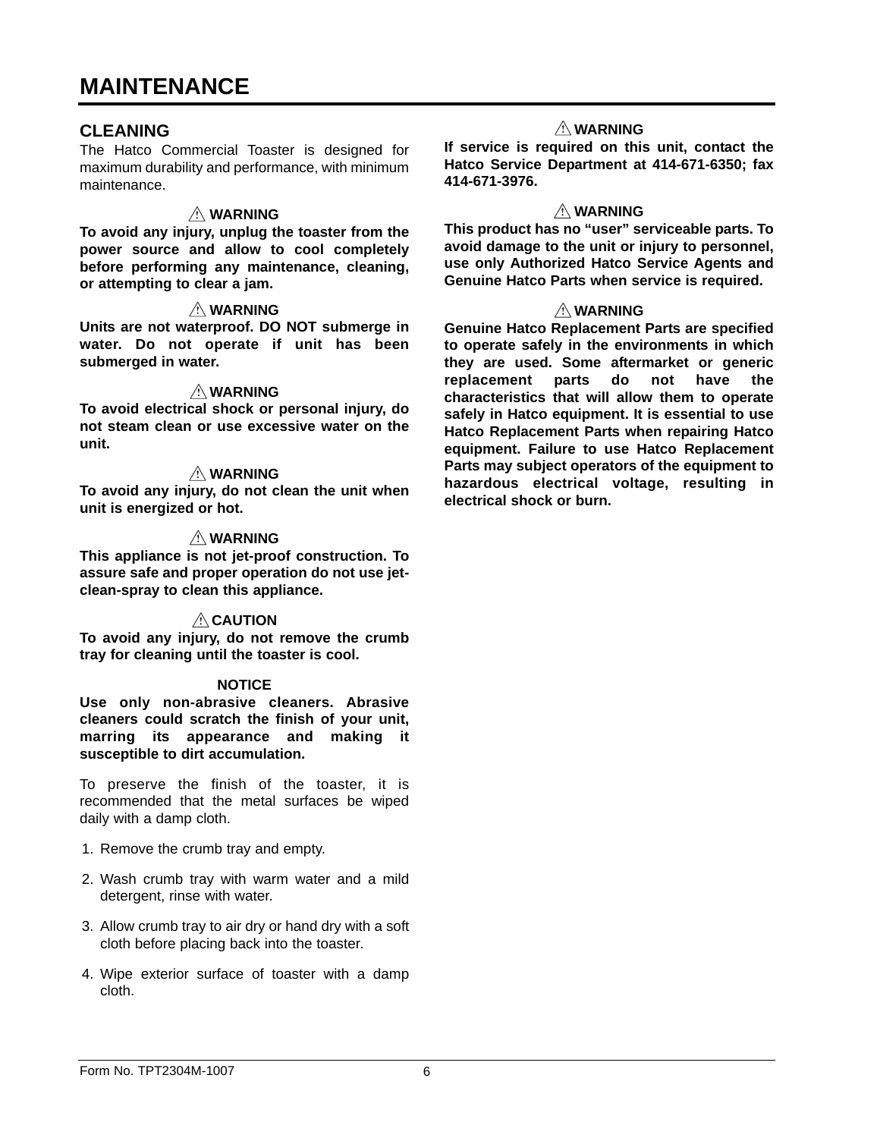## **CLEANING**

The Hatco Commercial Toaster is designed for maximum durability and performance, with minimum maintenance.

### **WARNING**

**To avoid any injury, unplug the toaster from the power source and allow to cool completely before performing any maintenance, cleaning, or attempting to clear a jam.**

#### **WARNING**

**Units are not waterproof. DO NOT submerge in water. Do not operate if unit has been submerged in water.**

#### **WARNING**

**To avoid electrical shock or personal injury, do not steam clean or use excessive water on the unit.**

#### **WARNING**

**To avoid any injury, do not clean the unit when unit is energized or hot.**

#### **WARNING**

**This appliance is not jet-proof construction. To assure safe and proper operation do not use jetclean-spray to clean this appliance.**

#### **CAUTION**

**To avoid any injury, do not remove the crumb tray for cleaning until the toaster is cool.**

#### **NOTICE**

**Use only non-abrasive cleaners. Abrasive cleaners could scratch the finish of your unit, marring its appearance and making it susceptible to dirt accumulation.**

To preserve the finish of the toaster, it is recommended that the metal surfaces be wiped daily with a damp cloth.

- 1. Remove the crumb tray and empty.
- 2. Wash crumb tray with warm water and a mild detergent, rinse with water.
- 3. Allow crumb tray to air dry or hand dry with a soft cloth before placing back into the toaster.
- 4. Wipe exterior surface of toaster with a damp cloth.

#### **WARNING**

**If service is required on this unit, contact the Hatco Service Department at 414-671-6350; fax 414-671-3976.**

#### **WARNING**

**This product has no "user" serviceable parts. To avoid damage to the unit or injury to personnel, use only Authorized Hatco Service Agents and Genuine Hatco Parts when service is required.**

#### **WARNING**

**Genuine Hatco Replacement Parts are specified to operate safely in the environments in which they are used. Some aftermarket or generic replacement parts do not have the characteristics that will allow them to operate safely in Hatco equipment. It is essential to use Hatco Replacement Parts when repairing Hatco equipment. Failure to use Hatco Replacement Parts may subject operators of the equipment to hazardous electrical voltage, resulting in electrical shock or burn.**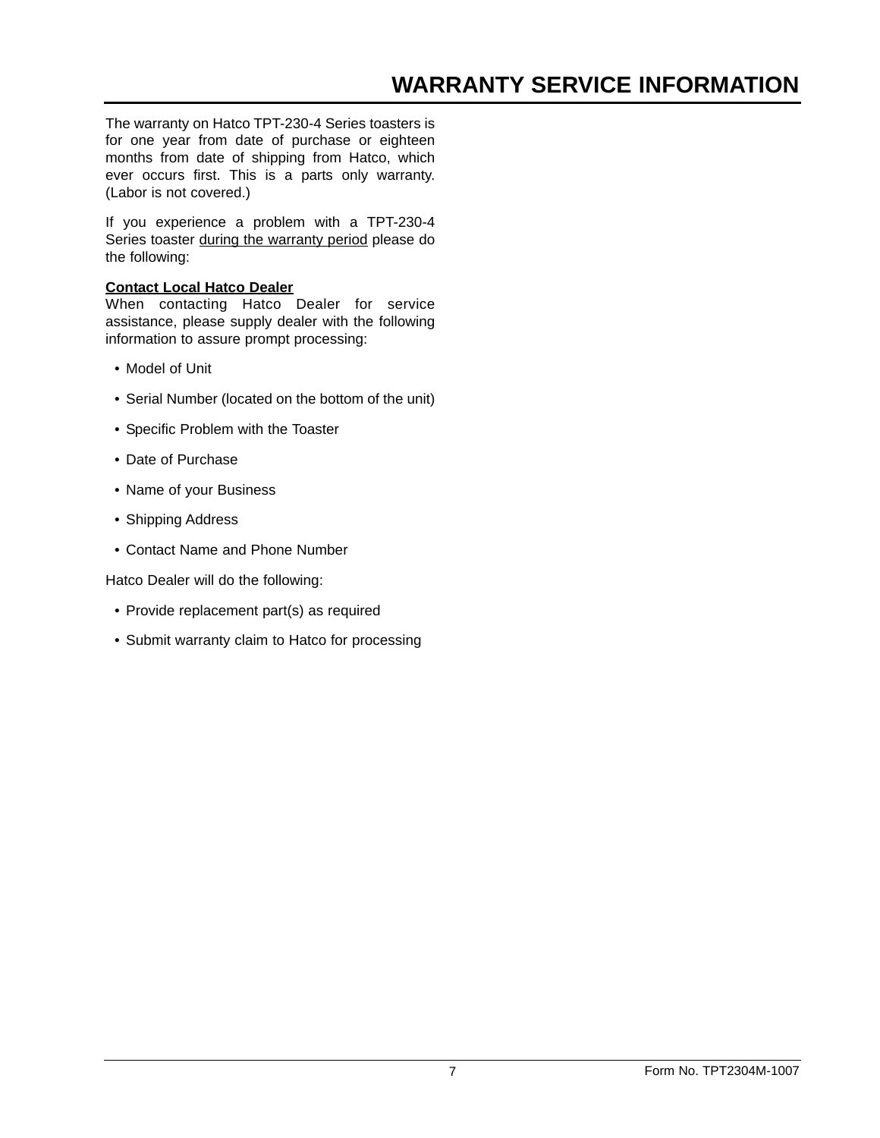The warranty on Hatco TPT-230-4 Series toasters is for one year from date of purchase or eighteen months from date of shipping from Hatco, which ever occurs first. This is a parts only warranty. (Labor is not covered.)

If you experience a problem with a TPT-230-4 Series toaster during the warranty period please do the following:

#### **Contact Local Hatco Dealer**

When contacting Hatco Dealer for service assistance, please supply dealer with the following information to assure prompt processing:

- Model of Unit
- Serial Number (located on the bottom of the unit)
- Specific Problem with the Toaster
- Date of Purchase
- Name of your Business
- Shipping Address
- Contact Name and Phone Number

Hatco Dealer will do the following:

- Provide replacement part(s) as required
- Submit warranty claim to Hatco for processing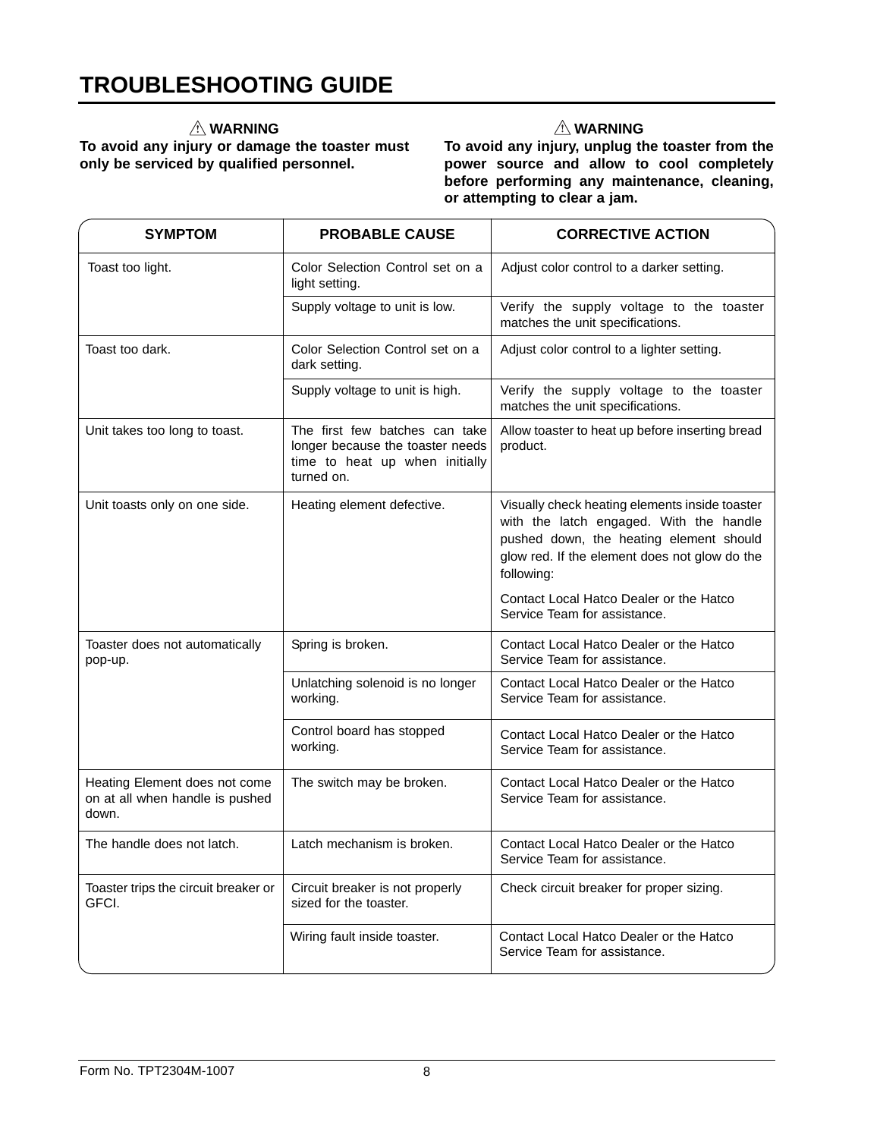## **WARNING**

**To avoid any injury or damage the toaster must only be serviced by qualified personnel.**

## **WARNING**

**To avoid any injury, unplug the toaster from the power source and allow to cool completely before performing any maintenance, cleaning, or attempting to clear a jam.**

| <b>SYMPTOM</b>                                                            | <b>PROBABLE CAUSE</b>                                                                                              | <b>CORRECTIVE ACTION</b>                                                                                                                                                                            |
|---------------------------------------------------------------------------|--------------------------------------------------------------------------------------------------------------------|-----------------------------------------------------------------------------------------------------------------------------------------------------------------------------------------------------|
| Toast too light.                                                          | Color Selection Control set on a<br>light setting.                                                                 | Adjust color control to a darker setting.                                                                                                                                                           |
|                                                                           | Supply voltage to unit is low.                                                                                     | Verify the supply voltage to the toaster<br>matches the unit specifications.                                                                                                                        |
| Toast too dark.                                                           | Color Selection Control set on a<br>dark setting.                                                                  | Adjust color control to a lighter setting.                                                                                                                                                          |
|                                                                           | Supply voltage to unit is high.                                                                                    | Verify the supply voltage to the toaster<br>matches the unit specifications.                                                                                                                        |
| Unit takes too long to toast.                                             | The first few batches can take<br>longer because the toaster needs<br>time to heat up when initially<br>turned on. | Allow toaster to heat up before inserting bread<br>product.                                                                                                                                         |
| Unit toasts only on one side.                                             | Heating element defective.                                                                                         | Visually check heating elements inside toaster<br>with the latch engaged. With the handle<br>pushed down, the heating element should<br>glow red. If the element does not glow do the<br>following: |
|                                                                           |                                                                                                                    | Contact Local Hatco Dealer or the Hatco<br>Service Team for assistance.                                                                                                                             |
| Toaster does not automatically<br>pop-up.                                 | Spring is broken.                                                                                                  | Contact Local Hatco Dealer or the Hatco<br>Service Team for assistance.                                                                                                                             |
|                                                                           | Unlatching solenoid is no longer<br>working.                                                                       | Contact Local Hatco Dealer or the Hatco<br>Service Team for assistance.                                                                                                                             |
|                                                                           | Control board has stopped<br>working.                                                                              | Contact Local Hatco Dealer or the Hatco<br>Service Team for assistance.                                                                                                                             |
| Heating Element does not come<br>on at all when handle is pushed<br>down. | The switch may be broken.                                                                                          | Contact Local Hatco Dealer or the Hatco<br>Service Team for assistance.                                                                                                                             |
| The handle does not latch.                                                | Latch mechanism is broken.                                                                                         | Contact Local Hatco Dealer or the Hatco<br>Service Team for assistance.                                                                                                                             |
| Toaster trips the circuit breaker or<br>GFCI.                             | Circuit breaker is not properly<br>sized for the toaster.                                                          | Check circuit breaker for proper sizing.                                                                                                                                                            |
|                                                                           | Wiring fault inside toaster.                                                                                       | Contact Local Hatco Dealer or the Hatco<br>Service Team for assistance.                                                                                                                             |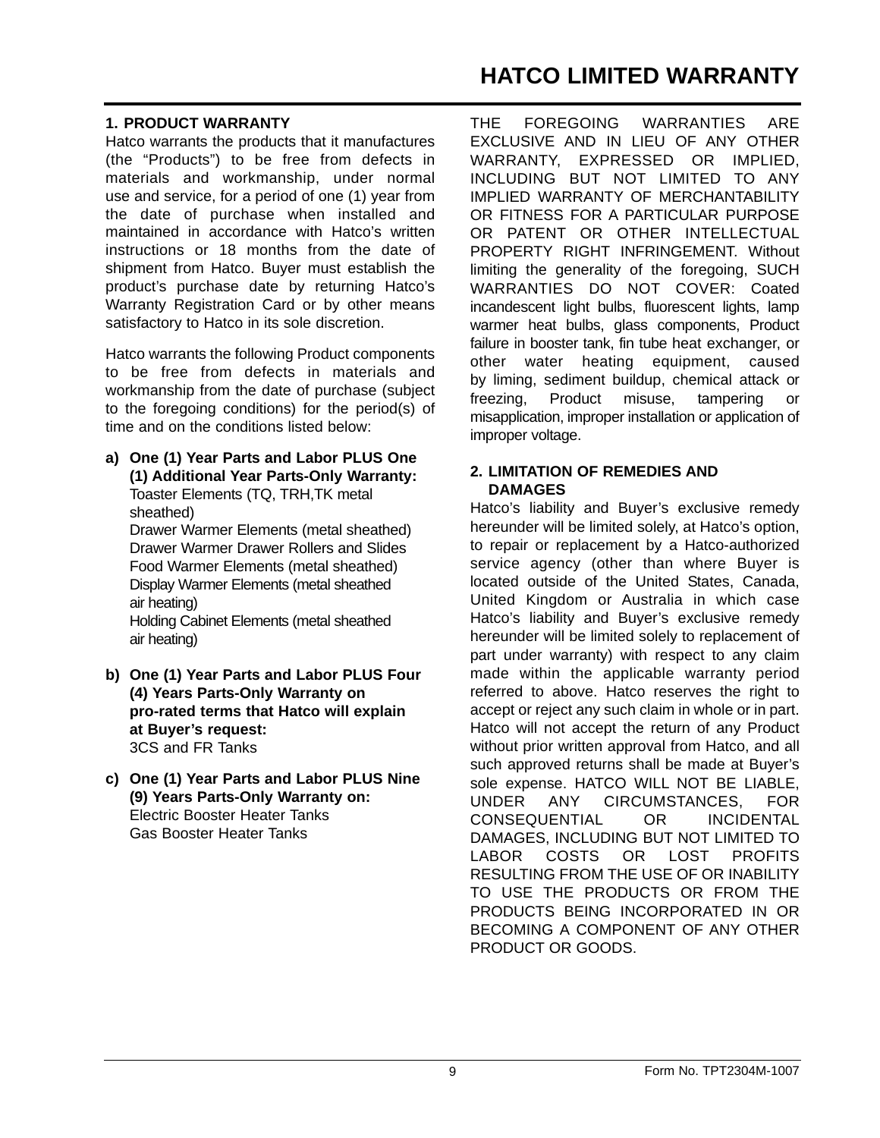## **1. PRODUCT WARRANTY**

Hatco warrants the products that it manufactures (the "Products") to be free from defects in materials and workmanship, under normal use and service, for a period of one (1) year from the date of purchase when installed and maintained in accordance with Hatco's written instructions or 18 months from the date of shipment from Hatco. Buyer must establish the product's purchase date by returning Hatco's Warranty Registration Card or by other means satisfactory to Hatco in its sole discretion.

Hatco warrants the following Product components to be free from defects in materials and workmanship from the date of purchase (subject to the foregoing conditions) for the period(s) of time and on the conditions listed below:

**a) One (1) Year Parts and Labor PLUS One (1) Additional Year Parts-Only Warranty:** Toaster Elements (TQ, TRH,TK metal sheathed) Drawer Warmer Elements (metal sheathed) Drawer Warmer Drawer Rollers and Slides Food Warmer Elements (metal sheathed) Display Warmer Elements (metal sheathed

air heating) Holding Cabinet Elements (metal sheathed air heating)

- **b) One (1) Year Parts and Labor PLUS Four (4) Years Parts-Only Warranty on pro-rated terms that Hatco will explain at Buyer's request:**  3CS and FR Tanks
- **c) One (1) Year Parts and Labor PLUS Nine (9) Years Parts-Only Warranty on:** Electric Booster Heater Tanks Gas Booster Heater Tanks

THE FOREGOING WARRANTIES ARE EXCLUSIVE AND IN LIEU OF ANY OTHER WARRANTY, EXPRESSED OR IMPLIED, INCLUDING BUT NOT LIMITED TO ANY IMPLIED WARRANTY OF MERCHANTABILITY OR FITNESS FOR A PARTICULAR PURPOSE OR PATENT OR OTHER INTELLECTUAL PROPERTY RIGHT INFRINGEMENT. Without limiting the generality of the foregoing, SUCH WARRANTIES DO NOT COVER: Coated incandescent light bulbs, fluorescent lights, lamp warmer heat bulbs, glass components, Product failure in booster tank, fin tube heat exchanger, or other water heating equipment, caused by liming, sediment buildup, chemical attack or freezing, Product misuse, tampering or misapplication, improper installation or application of improper voltage.

### **2. LIMITATION OF REMEDIES AND DAMAGES**

Hatco's liability and Buyer's exclusive remedy hereunder will be limited solely, at Hatco's option, to repair or replacement by a Hatco-authorized service agency (other than where Buyer is located outside of the United States, Canada, United Kingdom or Australia in which case Hatco's liability and Buyer's exclusive remedy hereunder will be limited solely to replacement of part under warranty) with respect to any claim made within the applicable warranty period referred to above. Hatco reserves the right to accept or reject any such claim in whole or in part. Hatco will not accept the return of any Product without prior written approval from Hatco, and all such approved returns shall be made at Buyer's sole expense. HATCO WILL NOT BE LIABLE, UNDER ANY CIRCUMSTANCES, FOR CONSEQUENTIAL OR INCIDENTAL DAMAGES, INCLUDING BUT NOT LIMITED TO LABOR COSTS OR LOST PROFITS RESULTING FROM THE USE OF OR INABILITY TO USE THE PRODUCTS OR FROM THE PRODUCTS BEING INCORPORATED IN OR BECOMING A COMPONENT OF ANY OTHER PRODUCT OR GOODS.